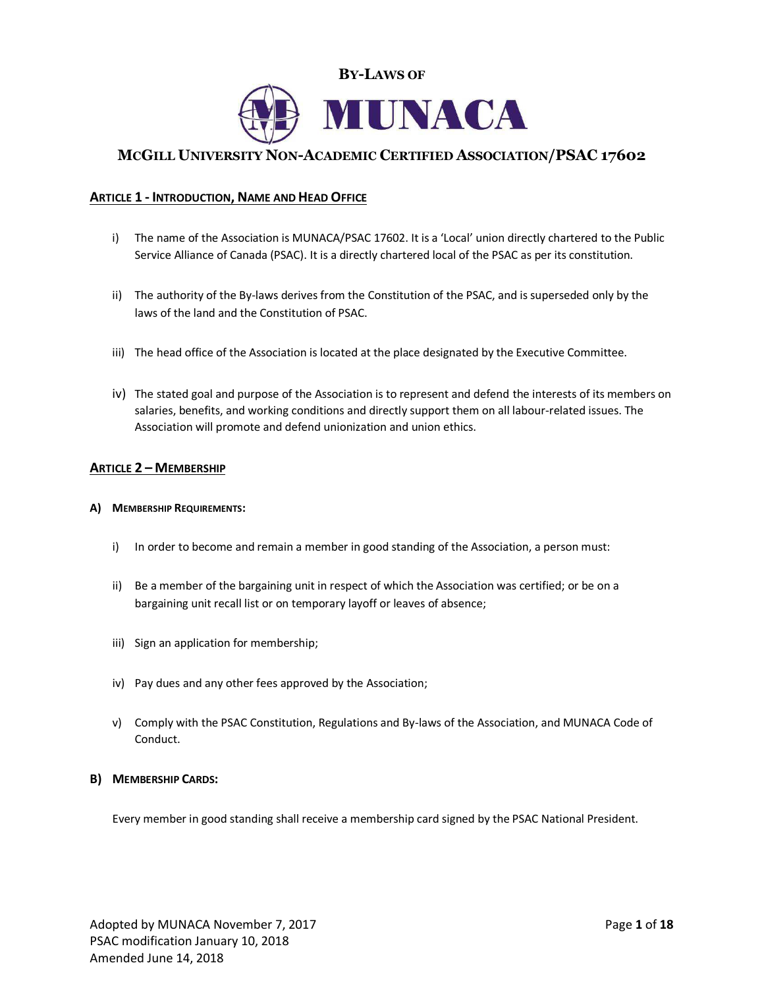

# **MCGILL UNIVERSITY NON-ACADEMIC CERTIFIED ASSOCIATION/PSAC 17602**

# **ARTICLE 1 - INTRODUCTION, NAME AND HEAD OFFICE**

- i) The name of the Association is MUNACA/PSAC 17602. It is a 'Local' union directly chartered to the Public Service Alliance of Canada (PSAC). It is a directly chartered local of the PSAC as per its constitution.
- ii) The authority of the By-laws derives from the Constitution of the PSAC, and is superseded only by the laws of the land and the Constitution of PSAC.
- iii) The head office of the Association is located at the place designated by the Executive Committee.
- iv) The stated goal and purpose of the Association is to represent and defend the interests of its members on salaries, benefits, and working conditions and directly support them on all labour-related issues. The Association will promote and defend unionization and union ethics.

## **ARTICLE 2 – MEMBERSHIP**

## **A) MEMBERSHIP REQUIREMENTS:**

- i) In order to become and remain a member in good standing of the Association, a person must:
- ii) Be a member of the bargaining unit in respect of which the Association was certified; or be on a bargaining unit recall list or on temporary layoff or leaves of absence;
- iii) Sign an application for membership;
- iv) Pay dues and any other fees approved by the Association;
- v) Comply with the PSAC Constitution, Regulations and By-laws of the Association, and MUNACA Code of Conduct.

## **B) MEMBERSHIP CARDS:**

Every member in good standing shall receive a membership card signed by the PSAC National President.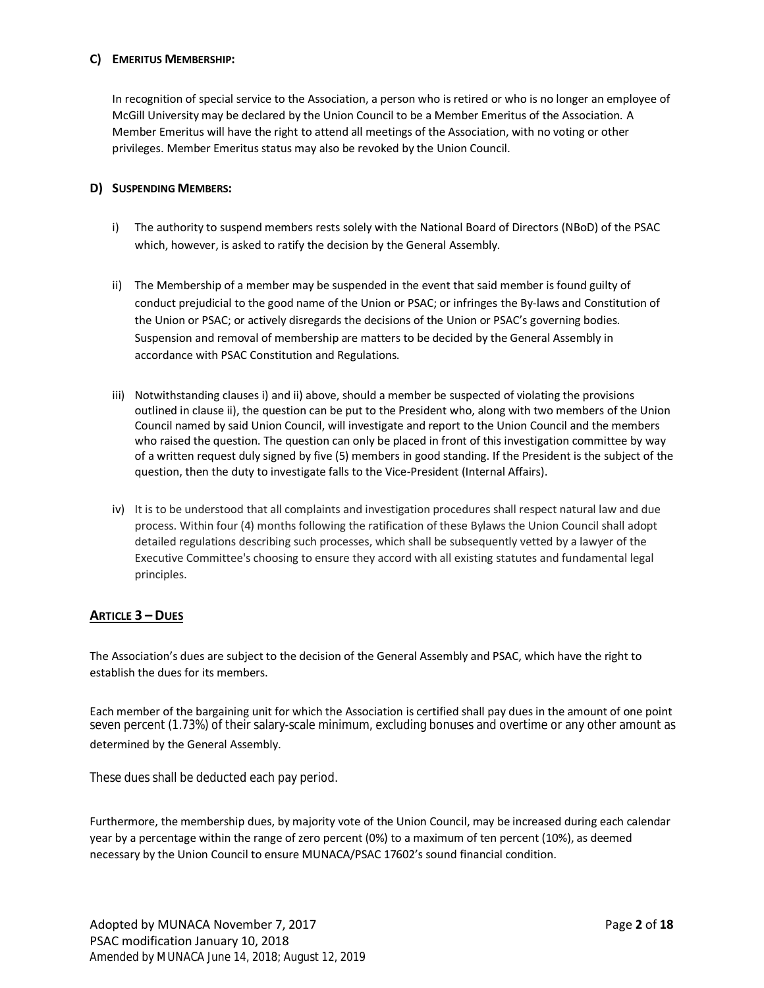# **C) EMERITUS MEMBERSHIP:**

In recognition of special service to the Association, a person who is retired or who is no longer an employee of McGill University may be declared by the Union Council to be a Member Emeritus of the Association. A Member Emeritus will have the right to attend all meetings of the Association, with no voting or other privileges. Member Emeritus status may also be revoked by the Union Council.

# **D) SUSPENDING MEMBERS:**

- i) The authority to suspend members rests solely with the National Board of Directors (NBoD) of the PSAC which, however, is asked to ratify the decision by the General Assembly.
- ii) The Membership of a member may be suspended in the event that said member is found guilty of conduct prejudicial to the good name of the Union or PSAC; or infringes the By-laws and Constitution of the Union or PSAC; or actively disregards the decisions of the Union or PSAC's governing bodies. Suspension and removal of membership are matters to be decided by the General Assembly in accordance with PSAC Constitution and Regulations.
- iii) Notwithstanding clauses i) and ii) above, should a member be suspected of violating the provisions outlined in clause ii), the question can be put to the President who, along with two members of the Union Council named by said Union Council, will investigate and report to the Union Council and the members who raised the question. The question can only be placed in front of this investigation committee by way of a written request duly signed by five (5) members in good standing. If the President is the subject of the question, then the duty to investigate falls to the Vice-President (Internal Affairs).
- iv) It is to be understood that all complaints and investigation procedures shall respect natural law and due process. Within four (4) months following the ratification of these Bylaws the Union Council shall adopt detailed regulations describing such processes, which shall be subsequently vetted by a lawyer of the Executive Committee's choosing to ensure they accord with all existing statutes and fundamental legal principles.

# **ARTICLE 3 – DUES**

The Association's dues are subject to the decision of the General Assembly and PSAC, which have the right to establish the dues for its members.

Each member of the bargaining unit for which the Association is certified shall pay dues in the amount of one point seven percent (1.73%) of their salary-scale minimum, excluding bonuses and overtime or any other amount as determined by the General Assembly.

These dues shall be deducted each pay period. These dues shall be deducted each pay period.

Furthermore, the membership dues, by majority vote of the Union Council, may be increased during each calendar year by a percentage within the range of zero percent (0%) to a maximum of ten percent (10%), as deemed necessary by the Union Council to ensure MUNACA/PSAC 17602's sound financial condition.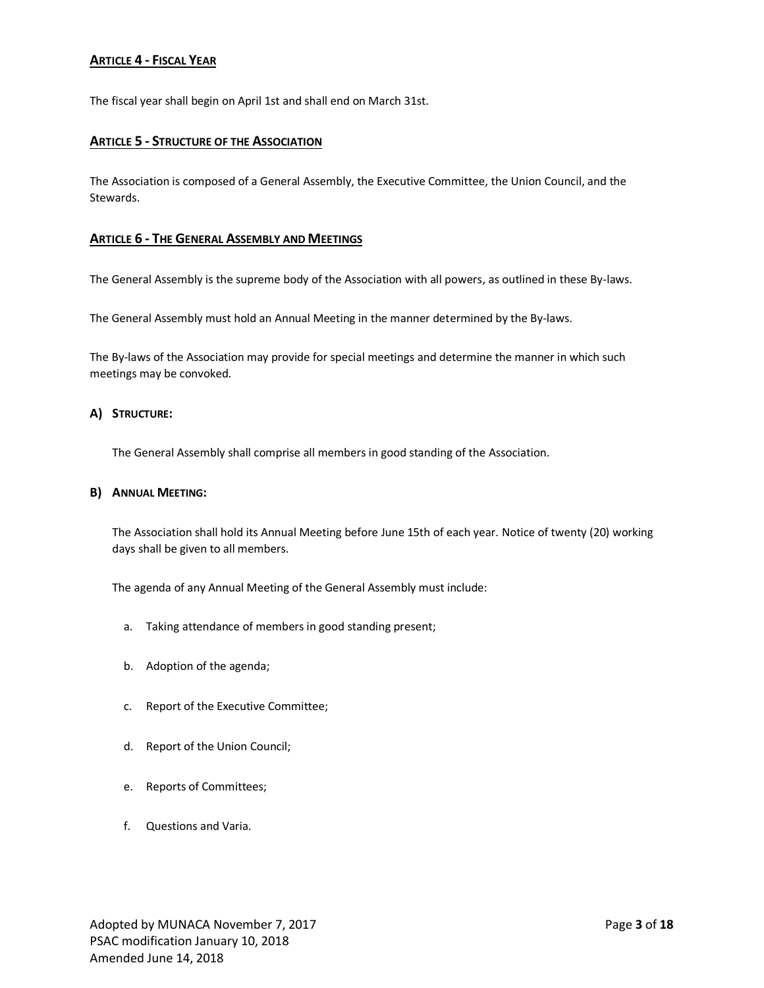# **ARTICLE 4 - FISCAL YEAR**

The fiscal year shall begin on April 1st and shall end on March 31st.

## **ARTICLE 5 - STRUCTURE OF THE ASSOCIATION**

The Association is composed of a General Assembly, the Executive Committee, the Union Council, and the Stewards.

#### **ARTICLE 6 - THE GENERAL ASSEMBLY AND MEETINGS**

The General Assembly is the supreme body of the Association with all powers, as outlined in these By-laws.

The General Assembly must hold an Annual Meeting in the manner determined by the By-laws.

The By-laws of the Association may provide for special meetings and determine the manner in which such meetings may be convoked.

#### **A) STRUCTURE:**

The General Assembly shall comprise all members in good standing of the Association.

#### **B) ANNUAL MEETING:**

The Association shall hold its Annual Meeting before June 15th of each year. Notice of twenty (20) working days shall be given to all members.

The agenda of any Annual Meeting of the General Assembly must include:

- a. Taking attendance of members in good standing present;
- b. Adoption of the agenda;
- c. Report of the Executive Committee;
- d. Report of the Union Council;
- e. Reports of Committees;
- f. Questions and Varia.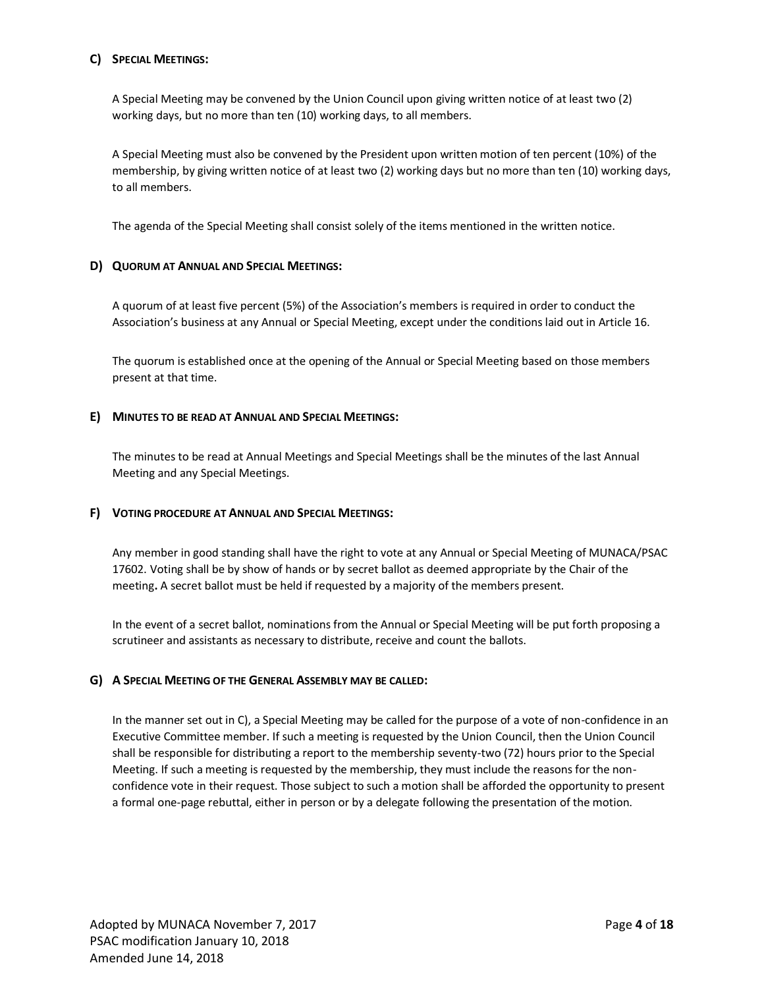# **C) SPECIAL MEETINGS:**

A Special Meeting may be convened by the Union Council upon giving written notice of at least two (2) working days, but no more than ten (10) working days, to all members.

A Special Meeting must also be convened by the President upon written motion of ten percent (10%) of the membership, by giving written notice of at least two (2) working days but no more than ten (10) working days, to all members.

The agenda of the Special Meeting shall consist solely of the items mentioned in the written notice.

# **D) QUORUM AT ANNUAL AND SPECIAL MEETINGS:**

A quorum of at least five percent (5%) of the Association's members is required in order to conduct the Association's business at any Annual or Special Meeting, except under the conditions laid out in Article 16.

The quorum is established once at the opening of the Annual or Special Meeting based on those members present at that time.

# **E) MINUTES TO BE READ AT ANNUAL AND SPECIAL MEETINGS:**

The minutes to be read at Annual Meetings and Special Meetings shall be the minutes of the last Annual Meeting and any Special Meetings.

## **F) VOTING PROCEDURE AT ANNUAL AND SPECIAL MEETINGS:**

Any member in good standing shall have the right to vote at any Annual or Special Meeting of MUNACA/PSAC 17602. Voting shall be by show of hands or by secret ballot as deemed appropriate by the Chair of the meeting**.** A secret ballot must be held if requested by a majority of the members present.

In the event of a secret ballot, nominations from the Annual or Special Meeting will be put forth proposing a scrutineer and assistants as necessary to distribute, receive and count the ballots.

# **G) A SPECIAL MEETING OF THE GENERAL ASSEMBLY MAY BE CALLED:**

In the manner set out in C), a Special Meeting may be called for the purpose of a vote of non-confidence in an Executive Committee member. If such a meeting is requested by the Union Council, then the Union Council shall be responsible for distributing a report to the membership seventy-two (72) hours prior to the Special Meeting. If such a meeting is requested by the membership, they must include the reasons for the nonconfidence vote in their request. Those subject to such a motion shall be afforded the opportunity to present a formal one-page rebuttal, either in person or by a delegate following the presentation of the motion.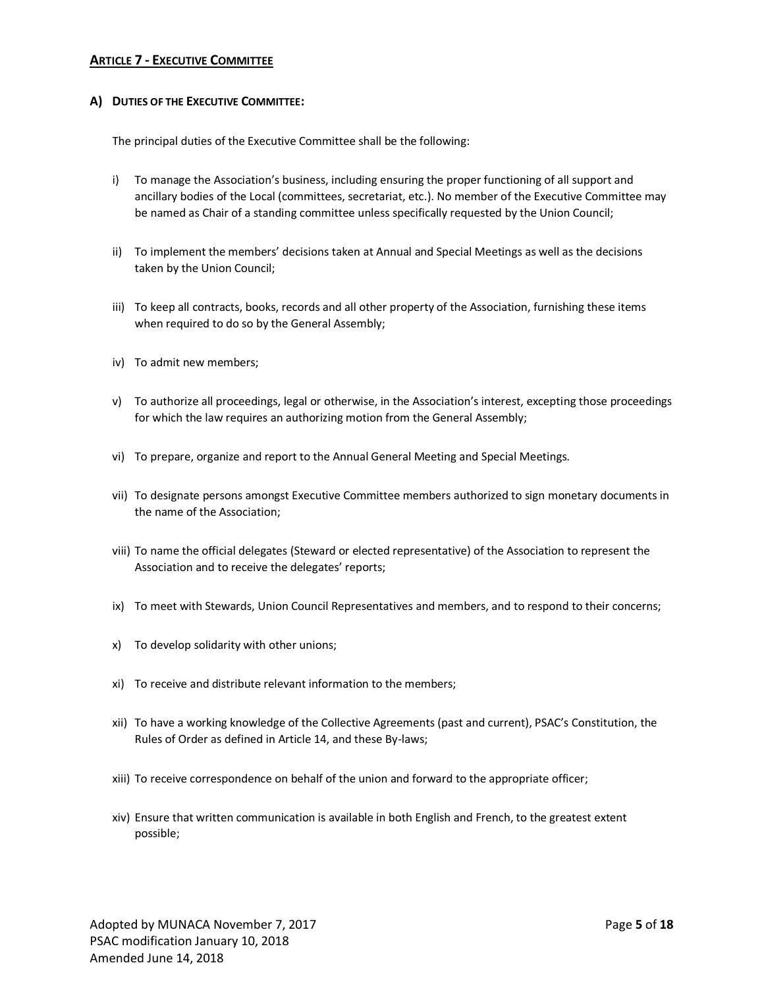# **ARTICLE 7 - EXECUTIVE COMMITTEE**

## **A) DUTIES OF THE EXECUTIVE COMMITTEE:**

The principal duties of the Executive Committee shall be the following:

- i) To manage the Association's business, including ensuring the proper functioning of all support and ancillary bodies of the Local (committees, secretariat, etc.). No member of the Executive Committee may be named as Chair of a standing committee unless specifically requested by the Union Council;
- ii) To implement the members' decisions taken at Annual and Special Meetings as well as the decisions taken by the Union Council;
- iii) To keep all contracts, books, records and all other property of the Association, furnishing these items when required to do so by the General Assembly;
- iv) To admit new members;
- v) To authorize all proceedings, legal or otherwise, in the Association's interest, excepting those proceedings for which the law requires an authorizing motion from the General Assembly;
- vi) To prepare, organize and report to the Annual General Meeting and Special Meetings.
- vii) To designate persons amongst Executive Committee members authorized to sign monetary documents in the name of the Association;
- viii) To name the official delegates (Steward or elected representative) of the Association to represent the Association and to receive the delegates' reports;
- ix) To meet with Stewards, Union Council Representatives and members, and to respond to their concerns;
- x) To develop solidarity with other unions;
- xi) To receive and distribute relevant information to the members;
- xii) To have a working knowledge of the Collective Agreements (past and current), PSAC's Constitution, the Rules of Order as defined in Article 14, and these By-laws;
- xiii) To receive correspondence on behalf of the union and forward to the appropriate officer;
- xiv) Ensure that written communication is available in both English and French, to the greatest extent possible;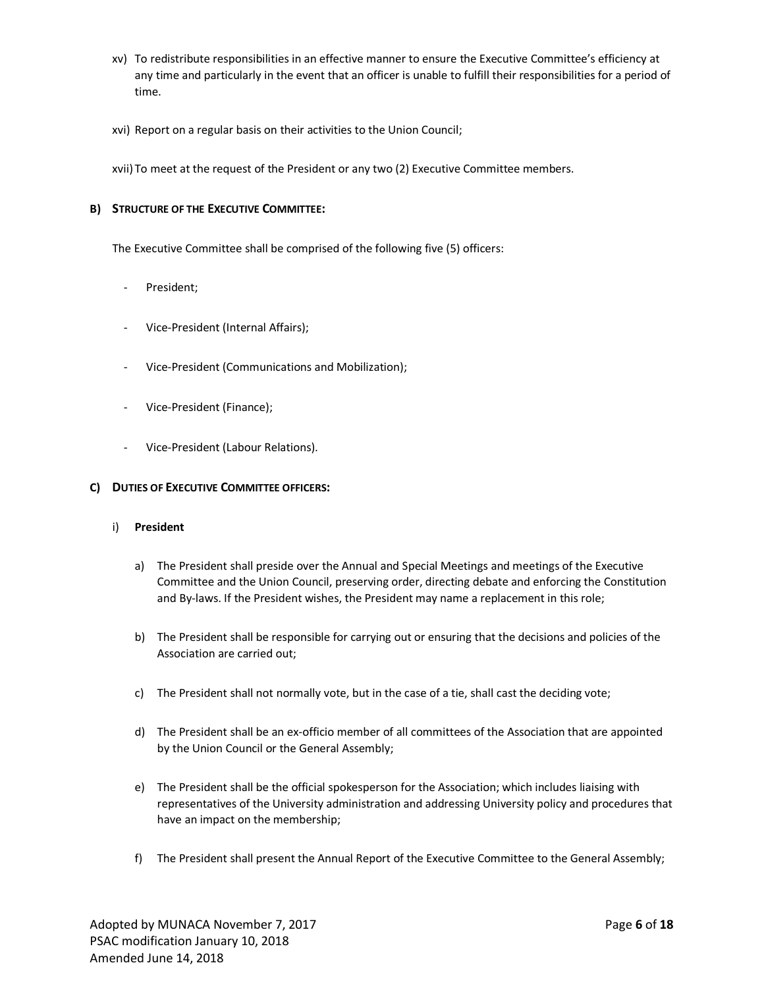- xv) To redistribute responsibilities in an effective manner to ensure the Executive Committee's efficiency at any time and particularly in the event that an officer is unable to fulfill their responsibilities for a period of time.
- xvi) Report on a regular basis on their activities to the Union Council;

xvii) To meet at the request of the President or any two (2) Executive Committee members.

## **B) STRUCTURE OF THE EXECUTIVE COMMITTEE:**

The Executive Committee shall be comprised of the following five (5) officers:

- President;
- Vice-President (Internal Affairs);
- Vice-President (Communications and Mobilization);
- Vice-President (Finance);
- Vice-President (Labour Relations).

## **C) DUTIES OF EXECUTIVE COMMITTEE OFFICERS:**

#### i) **President**

- a) The President shall preside over the Annual and Special Meetings and meetings of the Executive Committee and the Union Council, preserving order, directing debate and enforcing the Constitution and By-laws. If the President wishes, the President may name a replacement in this role;
- b) The President shall be responsible for carrying out or ensuring that the decisions and policies of the Association are carried out;
- c) The President shall not normally vote, but in the case of a tie, shall cast the deciding vote;
- d) The President shall be an ex-officio member of all committees of the Association that are appointed by the Union Council or the General Assembly;
- e) The President shall be the official spokesperson for the Association; which includes liaising with representatives of the University administration and addressing University policy and procedures that have an impact on the membership;
- f) The President shall present the Annual Report of the Executive Committee to the General Assembly;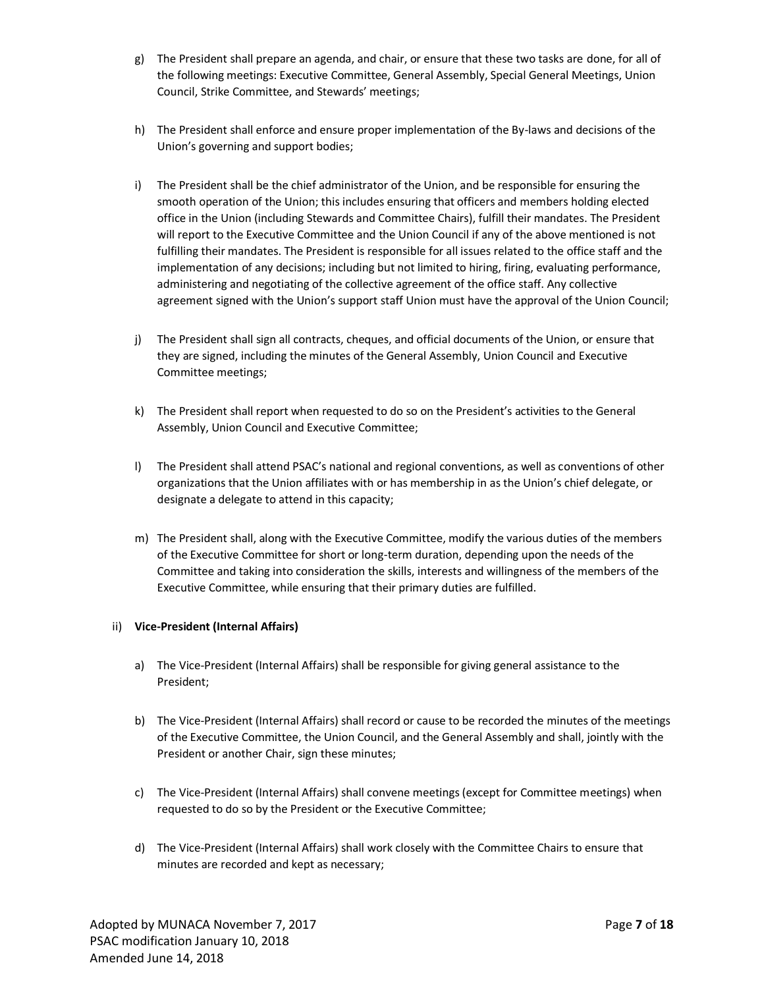- g) The President shall prepare an agenda, and chair, or ensure that these two tasks are done, for all of the following meetings: Executive Committee, General Assembly, Special General Meetings, Union Council, Strike Committee, and Stewards' meetings;
- h) The President shall enforce and ensure proper implementation of the By-laws and decisions of the Union's governing and support bodies;
- i) The President shall be the chief administrator of the Union, and be responsible for ensuring the smooth operation of the Union; this includes ensuring that officers and members holding elected office in the Union (including Stewards and Committee Chairs), fulfill their mandates. The President will report to the Executive Committee and the Union Council if any of the above mentioned is not fulfilling their mandates. The President is responsible for all issues related to the office staff and the implementation of any decisions; including but not limited to hiring, firing, evaluating performance, administering and negotiating of the collective agreement of the office staff. Any collective agreement signed with the Union's support staff Union must have the approval of the Union Council;
- j) The President shall sign all contracts, cheques, and official documents of the Union, or ensure that they are signed, including the minutes of the General Assembly, Union Council and Executive Committee meetings;
- k) The President shall report when requested to do so on the President's activities to the General Assembly, Union Council and Executive Committee;
- l) The President shall attend PSAC's national and regional conventions, as well as conventions of other organizations that the Union affiliates with or has membership in as the Union's chief delegate, or designate a delegate to attend in this capacity;
- m) The President shall, along with the Executive Committee, modify the various duties of the members of the Executive Committee for short or long-term duration, depending upon the needs of the Committee and taking into consideration the skills, interests and willingness of the members of the Executive Committee, while ensuring that their primary duties are fulfilled.

## ii) **Vice-President (Internal Affairs)**

- a) The Vice-President (Internal Affairs) shall be responsible for giving general assistance to the President;
- b) The Vice-President (Internal Affairs) shall record or cause to be recorded the minutes of the meetings of the Executive Committee, the Union Council, and the General Assembly and shall, jointly with the President or another Chair, sign these minutes;
- c) The Vice-President (Internal Affairs) shall convene meetings (except for Committee meetings) when requested to do so by the President or the Executive Committee;
- d) The Vice-President (Internal Affairs) shall work closely with the Committee Chairs to ensure that minutes are recorded and kept as necessary;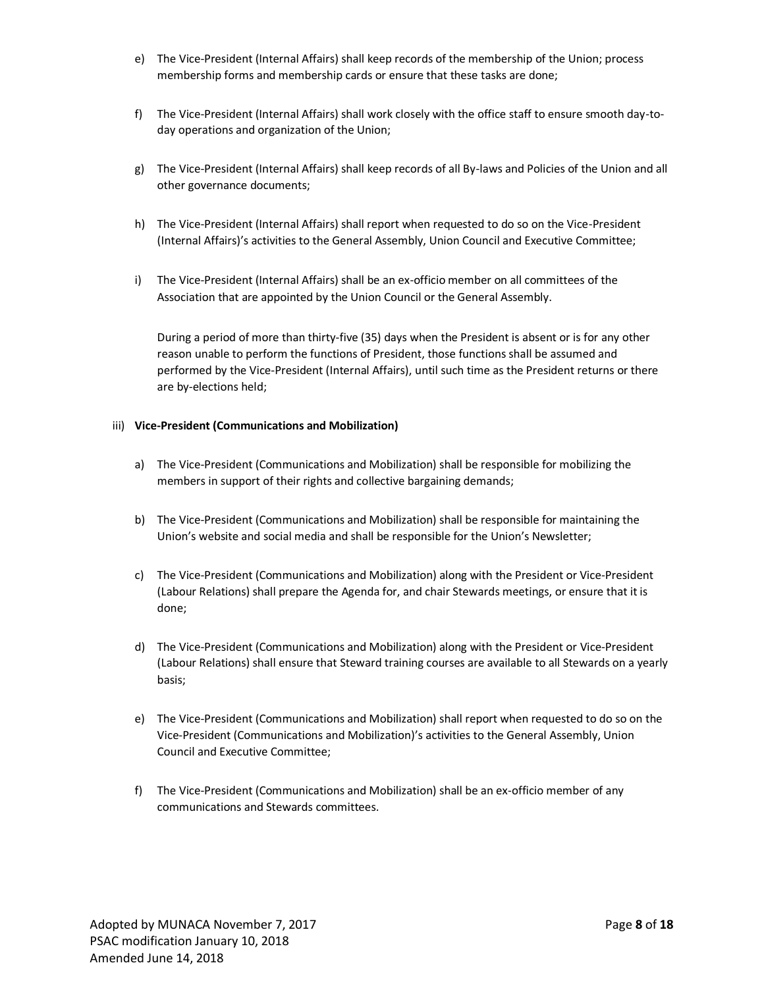- e) The Vice-President (Internal Affairs) shall keep records of the membership of the Union; process membership forms and membership cards or ensure that these tasks are done;
- f) The Vice-President (Internal Affairs) shall work closely with the office staff to ensure smooth day-today operations and organization of the Union;
- g) The Vice-President (Internal Affairs) shall keep records of all By-laws and Policies of the Union and all other governance documents;
- h) The Vice-President (Internal Affairs) shall report when requested to do so on the Vice-President (Internal Affairs)'s activities to the General Assembly, Union Council and Executive Committee;
- i) The Vice-President (Internal Affairs) shall be an ex-officio member on all committees of the Association that are appointed by the Union Council or the General Assembly.

During a period of more than thirty-five (35) days when the President is absent or is for any other reason unable to perform the functions of President, those functions shall be assumed and performed by the Vice-President (Internal Affairs), until such time as the President returns or there are by-elections held;

#### iii) **Vice-President (Communications and Mobilization)**

- a) The Vice-President (Communications and Mobilization) shall be responsible for mobilizing the members in support of their rights and collective bargaining demands;
- b) The Vice-President (Communications and Mobilization) shall be responsible for maintaining the Union's website and social media and shall be responsible for the Union's Newsletter;
- c) The Vice-President (Communications and Mobilization) along with the President or Vice-President (Labour Relations) shall prepare the Agenda for, and chair Stewards meetings, or ensure that it is done;
- d) The Vice-President (Communications and Mobilization) along with the President or Vice-President (Labour Relations) shall ensure that Steward training courses are available to all Stewards on a yearly basis;
- e) The Vice-President (Communications and Mobilization) shall report when requested to do so on the Vice-President (Communications and Mobilization)'s activities to the General Assembly, Union Council and Executive Committee;
- f) The Vice-President (Communications and Mobilization) shall be an ex-officio member of any communications and Stewards committees.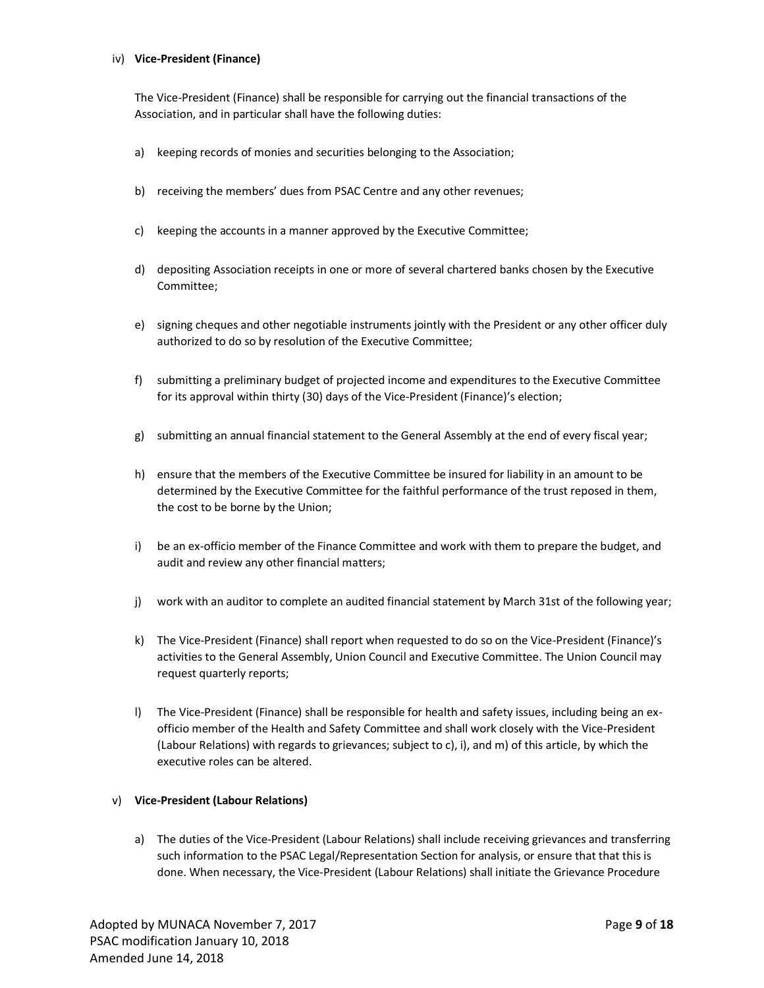#### iv) **Vice-President (Finance)**

The Vice-President (Finance) shall be responsible for carrying out the financial transactions of the Association, and in particular shall have the following duties:

- a) keeping records of monies and securities belonging to the Association;
- b) receiving the members' dues from PSAC Centre and any other revenues;
- c) keeping the accounts in a manner approved by the Executive Committee;
- d) depositing Association receipts in one or more of several chartered banks chosen by the Executive Committee;
- e) signing cheques and other negotiable instruments jointly with the President or any other officer duly authorized to do so by resolution of the Executive Committee;
- f) submitting a preliminary budget of projected income and expenditures to the Executive Committee for its approval within thirty (30) days of the Vice-President (Finance)'s election;
- g) submitting an annual financial statement to the General Assembly at the end of every fiscal year;
- h) ensure that the members of the Executive Committee be insured for liability in an amount to be determined by the Executive Committee for the faithful performance of the trust reposed in them, the cost to be borne by the Union;
- i) be an ex-officio member of the Finance Committee and work with them to prepare the budget, and audit and review any other financial matters;
- j) work with an auditor to complete an audited financial statement by March 31st of the following year;
- k) The Vice-President (Finance) shall report when requested to do so on the Vice-President (Finance)'s activities to the General Assembly, Union Council and Executive Committee. The Union Council may request quarterly reports;
- l) The Vice-President (Finance) shall be responsible for health and safety issues, including being an exofficio member of the Health and Safety Committee and shall work closely with the Vice-President (Labour Relations) with regards to grievances; subject to c), i), and m) of this article, by which the executive roles can be altered.

#### v) **Vice-President (Labour Relations)**

a) The duties of the Vice-President (Labour Relations) shall include receiving grievances and transferring such information to the PSAC Legal/Representation Section for analysis, or ensure that that this is done. When necessary, the Vice-President (Labour Relations) shall initiate the Grievance Procedure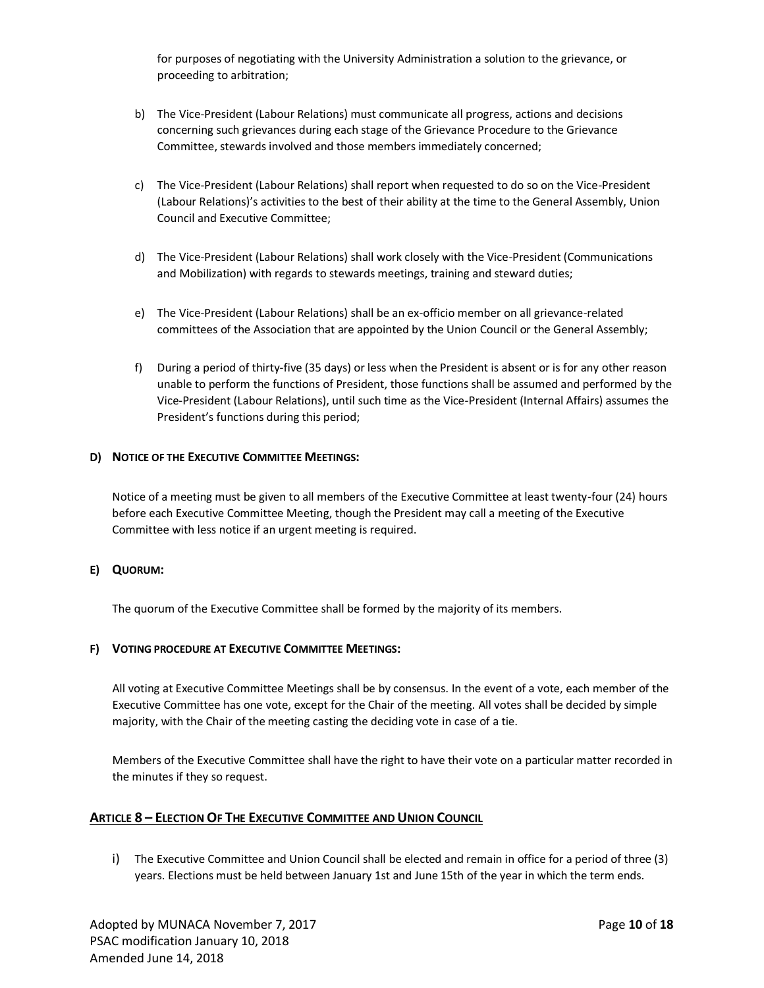for purposes of negotiating with the University Administration a solution to the grievance, or proceeding to arbitration;

- b) The Vice-President (Labour Relations) must communicate all progress, actions and decisions concerning such grievances during each stage of the Grievance Procedure to the Grievance Committee, stewards involved and those members immediately concerned;
- c) The Vice-President (Labour Relations) shall report when requested to do so on the Vice-President (Labour Relations)'s activities to the best of their ability at the time to the General Assembly, Union Council and Executive Committee;
- d) The Vice-President (Labour Relations) shall work closely with the Vice-President (Communications and Mobilization) with regards to stewards meetings, training and steward duties;
- e) The Vice-President (Labour Relations) shall be an ex-officio member on all grievance-related committees of the Association that are appointed by the Union Council or the General Assembly;
- f) During a period of thirty-five (35 days) or less when the President is absent or is for any other reason unable to perform the functions of President, those functions shall be assumed and performed by the Vice-President (Labour Relations), until such time as the Vice-President (Internal Affairs) assumes the President's functions during this period;

## **D) NOTICE OF THE EXECUTIVE COMMITTEE MEETINGS:**

Notice of a meeting must be given to all members of the Executive Committee at least twenty-four (24) hours before each Executive Committee Meeting, though the President may call a meeting of the Executive Committee with less notice if an urgent meeting is required.

## **E) QUORUM:**

The quorum of the Executive Committee shall be formed by the majority of its members.

#### **F) VOTING PROCEDURE AT EXECUTIVE COMMITTEE MEETINGS:**

All voting at Executive Committee Meetings shall be by consensus. In the event of a vote, each member of the Executive Committee has one vote, except for the Chair of the meeting. All votes shall be decided by simple majority, with the Chair of the meeting casting the deciding vote in case of a tie.

Members of the Executive Committee shall have the right to have their vote on a particular matter recorded in the minutes if they so request.

## **ARTICLE 8 – ELECTION OF THE EXECUTIVE COMMITTEE AND UNION COUNCIL**

i) The Executive Committee and Union Council shall be elected and remain in office for a period of three (3) years. Elections must be held between January 1st and June 15th of the year in which the term ends.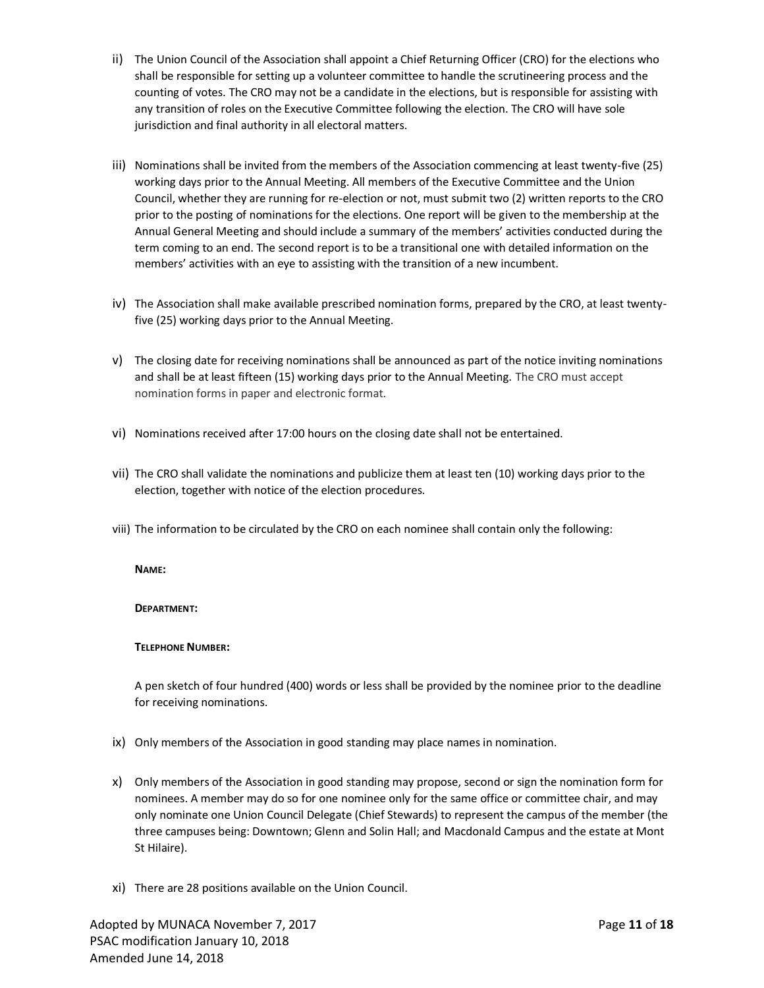- ii) The Union Council of the Association shall appoint a Chief Returning Officer (CRO) for the elections who shall be responsible for setting up a volunteer committee to handle the scrutineering process and the counting of votes. The CRO may not be a candidate in the elections, but is responsible for assisting with any transition of roles on the Executive Committee following the election. The CRO will have sole jurisdiction and final authority in all electoral matters.
- iii) Nominations shall be invited from the members of the Association commencing at least twenty-five (25) working days prior to the Annual Meeting. All members of the Executive Committee and the Union Council, whether they are running for re-election or not, must submit two (2) written reports to the CRO prior to the posting of nominations for the elections. One report will be given to the membership at the Annual General Meeting and should include a summary of the members' activities conducted during the term coming to an end. The second report is to be a transitional one with detailed information on the members' activities with an eye to assisting with the transition of a new incumbent.
- iv) The Association shall make available prescribed nomination forms, prepared by the CRO, at least twentyfive (25) working days prior to the Annual Meeting.
- v) The closing date for receiving nominations shall be announced as part of the notice inviting nominations and shall be at least fifteen (15) working days prior to the Annual Meeting. The CRO must accept nomination forms in paper and electronic format.
- vi) Nominations received after 17:00 hours on the closing date shall not be entertained.
- vii) The CRO shall validate the nominations and publicize them at least ten (10) working days prior to the election, together with notice of the election procedures.
- viii) The information to be circulated by the CRO on each nominee shall contain only the following:

## **NAME:**

## **DEPARTMENT:**

## **TELEPHONE NUMBER:**

A pen sketch of four hundred (400) words or less shall be provided by the nominee prior to the deadline for receiving nominations.

- ix) Only members of the Association in good standing may place names in nomination.
- x) Only members of the Association in good standing may propose, second or sign the nomination form for nominees. A member may do so for one nominee only for the same office or committee chair, and may only nominate one Union Council Delegate (Chief Stewards) to represent the campus of the member (the three campuses being: Downtown; Glenn and Solin Hall; and Macdonald Campus and the estate at Mont St Hilaire).
- xi) There are 28 positions available on the Union Council.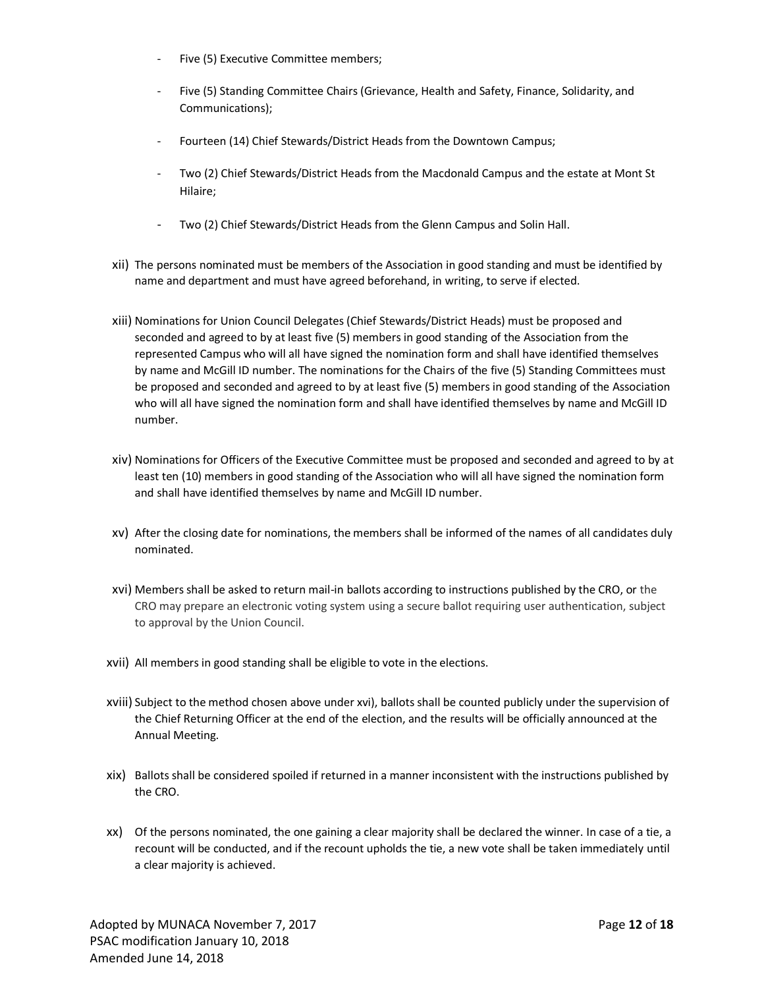- Five (5) Executive Committee members;
- Five (5) Standing Committee Chairs (Grievance, Health and Safety, Finance, Solidarity, and Communications);
- Fourteen (14) Chief Stewards/District Heads from the Downtown Campus;
- Two (2) Chief Stewards/District Heads from the Macdonald Campus and the estate at Mont St Hilaire;
- Two (2) Chief Stewards/District Heads from the Glenn Campus and Solin Hall.
- xii) The persons nominated must be members of the Association in good standing and must be identified by name and department and must have agreed beforehand, in writing, to serve if elected.
- xiii) Nominations for Union Council Delegates (Chief Stewards/District Heads) must be proposed and seconded and agreed to by at least five (5) members in good standing of the Association from the represented Campus who will all have signed the nomination form and shall have identified themselves by name and McGill ID number. The nominations for the Chairs of the five (5) Standing Committees must be proposed and seconded and agreed to by at least five (5) members in good standing of the Association who will all have signed the nomination form and shall have identified themselves by name and McGill ID number.
- xiv) Nominations for Officers of the Executive Committee must be proposed and seconded and agreed to by at least ten (10) members in good standing of the Association who will all have signed the nomination form and shall have identified themselves by name and McGill ID number.
- xv) After the closing date for nominations, the members shall be informed of the names of all candidates duly nominated.
- xvi) Members shall be asked to return mail-in ballots according to instructions published by the CRO, or the CRO may prepare an electronic voting system using a secure ballot requiring user authentication, subject to approval by the Union Council.
- xvii) All members in good standing shall be eligible to vote in the elections.
- xviii) Subject to the method chosen above under xvi), ballots shall be counted publicly under the supervision of the Chief Returning Officer at the end of the election, and the results will be officially announced at the Annual Meeting.
- xix) Ballots shall be considered spoiled if returned in a manner inconsistent with the instructions published by the CRO.
- xx) Of the persons nominated, the one gaining a clear majority shall be declared the winner. In case of a tie, a recount will be conducted, and if the recount upholds the tie, a new vote shall be taken immediately until a clear majority is achieved.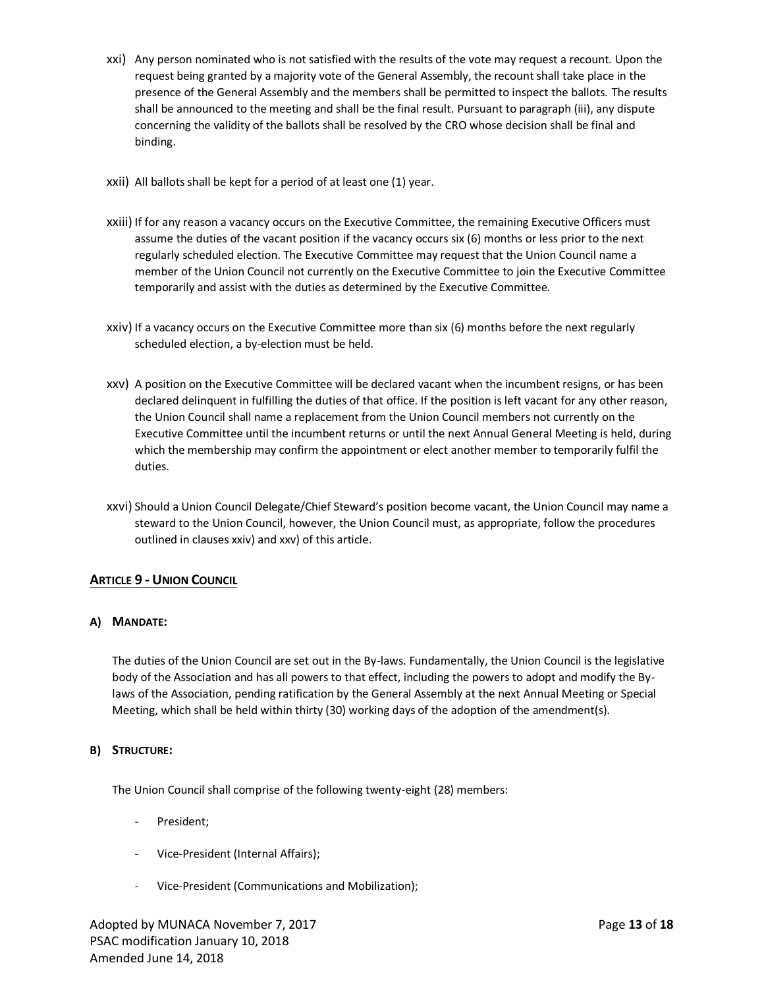- xxi) Any person nominated who is not satisfied with the results of the vote may request a recount. Upon the request being granted by a majority vote of the General Assembly, the recount shall take place in the presence of the General Assembly and the members shall be permitted to inspect the ballots. The results shall be announced to the meeting and shall be the final result. Pursuant to paragraph (iii), any dispute concerning the validity of the ballots shall be resolved by the CRO whose decision shall be final and binding.
- xxii) All ballots shall be kept for a period of at least one (1) year.
- xxiii) If for any reason a vacancy occurs on the Executive Committee, the remaining Executive Officers must assume the duties of the vacant position if the vacancy occurs six (6) months or less prior to the next regularly scheduled election. The Executive Committee may request that the Union Council name a member of the Union Council not currently on the Executive Committee to join the Executive Committee temporarily and assist with the duties as determined by the Executive Committee.
- xxiv) If a vacancy occurs on the Executive Committee more than six (6) months before the next regularly scheduled election, a by-election must be held.
- xxv) A position on the Executive Committee will be declared vacant when the incumbent resigns, or has been declared delinquent in fulfilling the duties of that office. If the position is left vacant for any other reason, the Union Council shall name a replacement from the Union Council members not currently on the Executive Committee until the incumbent returns or until the next Annual General Meeting is held, during which the membership may confirm the appointment or elect another member to temporarily fulfil the duties.
- xxvi) Should a Union Council Delegate/Chief Steward's position become vacant, the Union Council may name a steward to the Union Council, however, the Union Council must, as appropriate, follow the procedures outlined in clauses xxiv) and xxv) of this article.

# **ARTICLE 9 - UNION COUNCIL**

# **A) MANDATE:**

The duties of the Union Council are set out in the By-laws. Fundamentally, the Union Council is the legislative body of the Association and has all powers to that effect, including the powers to adopt and modify the Bylaws of the Association, pending ratification by the General Assembly at the next Annual Meeting or Special Meeting, which shall be held within thirty (30) working days of the adoption of the amendment(s).

## **B) STRUCTURE:**

The Union Council shall comprise of the following twenty-eight (28) members:

- President;
- Vice-President (Internal Affairs);
- Vice-President (Communications and Mobilization);

Adopted by MUNACA November 7, 2017 **Page 13** of **18** PSAC modification January 10, 2018 Amended June 14, 2018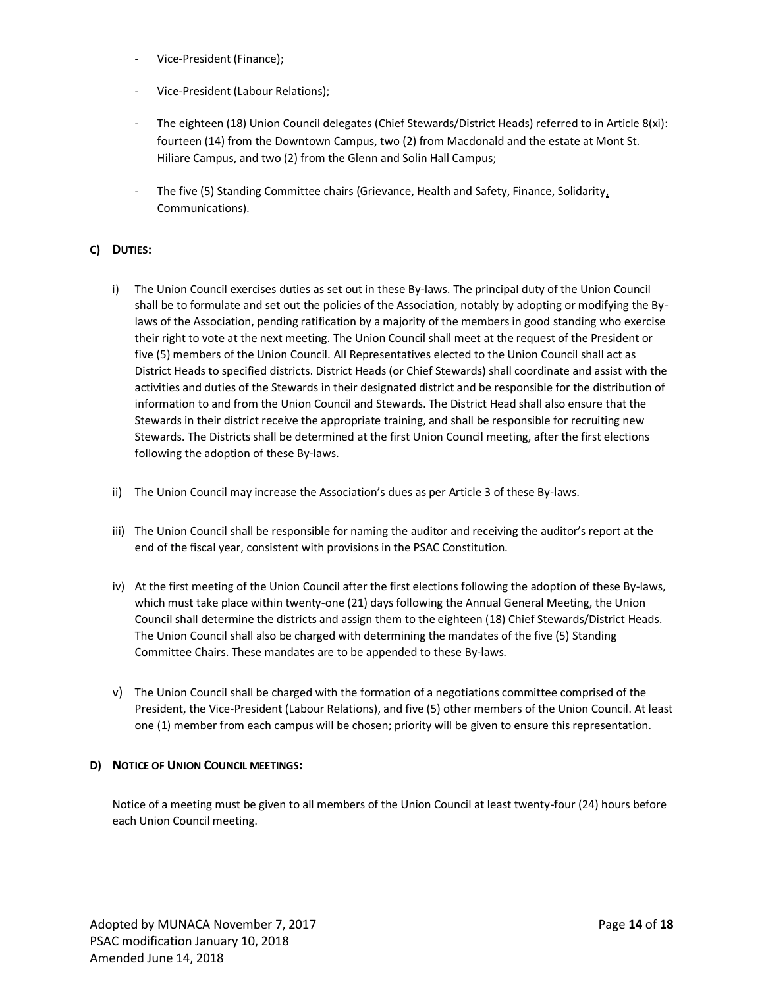- Vice-President (Finance);
- Vice-President (Labour Relations);
- The eighteen (18) Union Council delegates (Chief Stewards/District Heads) referred to in Article 8(xi): fourteen (14) from the Downtown Campus, two (2) from Macdonald and the estate at Mont St. Hiliare Campus, and two (2) from the Glenn and Solin Hall Campus;
- The five (5) Standing Committee chairs (Grievance, Health and Safety, Finance, Solidarity, Communications).

# **C) DUTIES:**

- i) The Union Council exercises duties as set out in these By-laws. The principal duty of the Union Council shall be to formulate and set out the policies of the Association, notably by adopting or modifying the Bylaws of the Association, pending ratification by a majority of the members in good standing who exercise their right to vote at the next meeting. The Union Council shall meet at the request of the President or five (5) members of the Union Council. All Representatives elected to the Union Council shall act as District Heads to specified districts. District Heads (or Chief Stewards) shall coordinate and assist with the activities and duties of the Stewards in their designated district and be responsible for the distribution of information to and from the Union Council and Stewards. The District Head shall also ensure that the Stewards in their district receive the appropriate training, and shall be responsible for recruiting new Stewards. The Districts shall be determined at the first Union Council meeting, after the first elections following the adoption of these By-laws.
- ii) The Union Council may increase the Association's dues as per Article 3 of these By-laws.
- iii) The Union Council shall be responsible for naming the auditor and receiving the auditor's report at the end of the fiscal year, consistent with provisions in the PSAC Constitution.
- iv) At the first meeting of the Union Council after the first elections following the adoption of these By-laws, which must take place within twenty-one (21) days following the Annual General Meeting, the Union Council shall determine the districts and assign them to the eighteen (18) Chief Stewards/District Heads. The Union Council shall also be charged with determining the mandates of the five (5) Standing Committee Chairs. These mandates are to be appended to these By-laws.
- v) The Union Council shall be charged with the formation of a negotiations committee comprised of the President, the Vice-President (Labour Relations), and five (5) other members of the Union Council. At least one (1) member from each campus will be chosen; priority will be given to ensure this representation.

## **D) NOTICE OF UNION COUNCIL MEETINGS:**

Notice of a meeting must be given to all members of the Union Council at least twenty-four (24) hours before each Union Council meeting.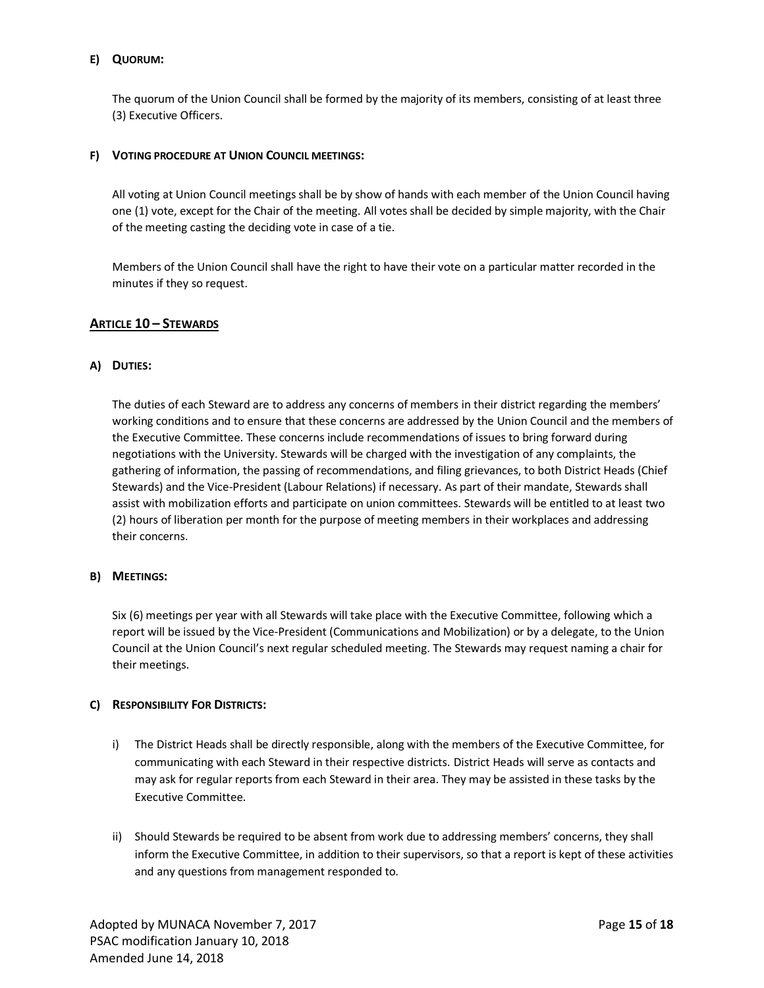# **E) QUORUM:**

The quorum of the Union Council shall be formed by the majority of its members, consisting of at least three (3) Executive Officers.

## **F) VOTING PROCEDURE AT UNION COUNCIL MEETINGS:**

All voting at Union Council meetings shall be by show of hands with each member of the Union Council having one (1) vote, except for the Chair of the meeting. All votes shall be decided by simple majority, with the Chair of the meeting casting the deciding vote in case of a tie.

Members of the Union Council shall have the right to have their vote on a particular matter recorded in the minutes if they so request.

## **ARTICLE 10 – STEWARDS**

## **A) DUTIES:**

The duties of each Steward are to address any concerns of members in their district regarding the members' working conditions and to ensure that these concerns are addressed by the Union Council and the members of the Executive Committee. These concerns include recommendations of issues to bring forward during negotiations with the University. Stewards will be charged with the investigation of any complaints, the gathering of information, the passing of recommendations, and filing grievances, to both District Heads (Chief Stewards) and the Vice-President (Labour Relations) if necessary. As part of their mandate, Stewards shall assist with mobilization efforts and participate on union committees. Stewards will be entitled to at least two (2) hours of liberation per month for the purpose of meeting members in their workplaces and addressing their concerns.

## **B) MEETINGS:**

Six (6) meetings per year with all Stewards will take place with the Executive Committee, following which a report will be issued by the Vice-President (Communications and Mobilization) or by a delegate, to the Union Council at the Union Council's next regular scheduled meeting. The Stewards may request naming a chair for their meetings.

## **C) RESPONSIBILITY FOR DISTRICTS:**

- i) The District Heads shall be directly responsible, along with the members of the Executive Committee, for communicating with each Steward in their respective districts. District Heads will serve as contacts and may ask for regular reports from each Steward in their area. They may be assisted in these tasks by the Executive Committee.
- ii) Should Stewards be required to be absent from work due to addressing members' concerns, they shall inform the Executive Committee, in addition to their supervisors, so that a report is kept of these activities and any questions from management responded to.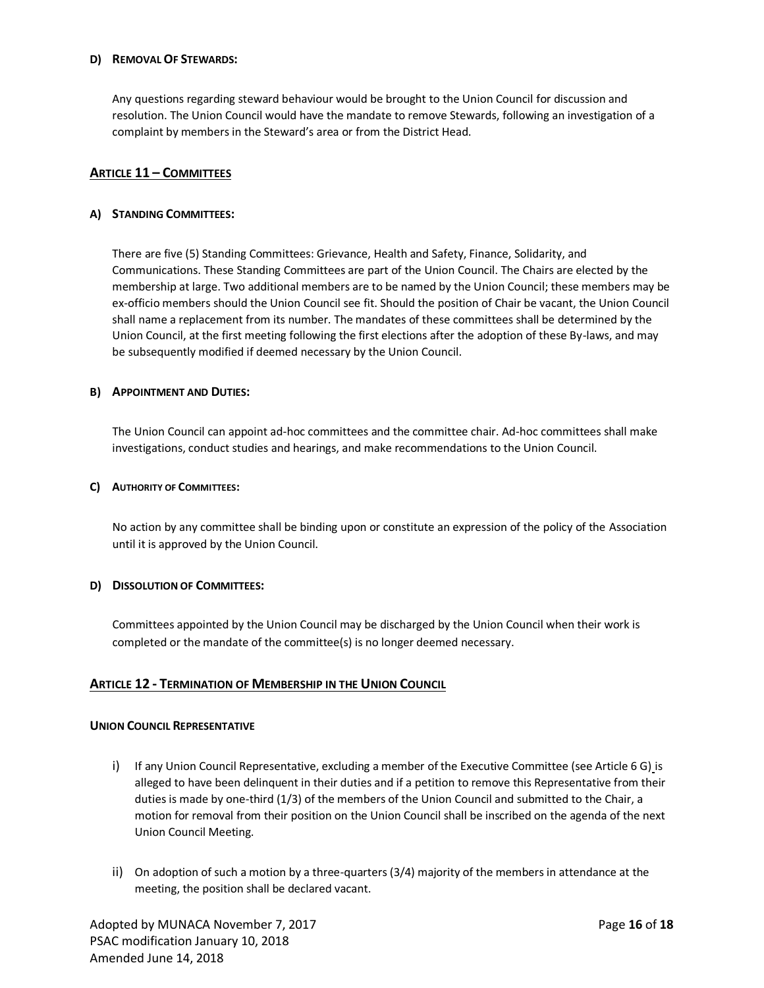#### **D) REMOVAL OF STEWARDS:**

Any questions regarding steward behaviour would be brought to the Union Council for discussion and resolution. The Union Council would have the mandate to remove Stewards, following an investigation of a complaint by members in the Steward's area or from the District Head.

# **ARTICLE 11 – COMMITTEES**

## **A) STANDING COMMITTEES:**

There are five (5) Standing Committees: Grievance, Health and Safety, Finance, Solidarity, and Communications. These Standing Committees are part of the Union Council. The Chairs are elected by the membership at large. Two additional members are to be named by the Union Council; these members may be ex-officio members should the Union Council see fit. Should the position of Chair be vacant, the Union Council shall name a replacement from its number. The mandates of these committees shall be determined by the Union Council, at the first meeting following the first elections after the adoption of these By-laws, and may be subsequently modified if deemed necessary by the Union Council.

#### **B) APPOINTMENT AND DUTIES:**

The Union Council can appoint ad-hoc committees and the committee chair. Ad-hoc committees shall make investigations, conduct studies and hearings, and make recommendations to the Union Council.

#### **C) AUTHORITY OF COMMITTEES:**

No action by any committee shall be binding upon or constitute an expression of the policy of the Association until it is approved by the Union Council.

## **D) DISSOLUTION OF COMMITTEES:**

Committees appointed by the Union Council may be discharged by the Union Council when their work is completed or the mandate of the committee(s) is no longer deemed necessary.

## **ARTICLE 12 - TERMINATION OF MEMBERSHIP IN THE UNION COUNCIL**

#### **UNION COUNCIL REPRESENTATIVE**

- i) If any Union Council Representative, excluding a member of the Executive Committee (see Article 6 G) is alleged to have been delinquent in their duties and if a petition to remove this Representative from their duties is made by one-third (1/3) of the members of the Union Council and submitted to the Chair, a motion for removal from their position on the Union Council shall be inscribed on the agenda of the next Union Council Meeting.
- ii) On adoption of such a motion by a three-quarters (3/4) majority of the members in attendance at the meeting, the position shall be declared vacant.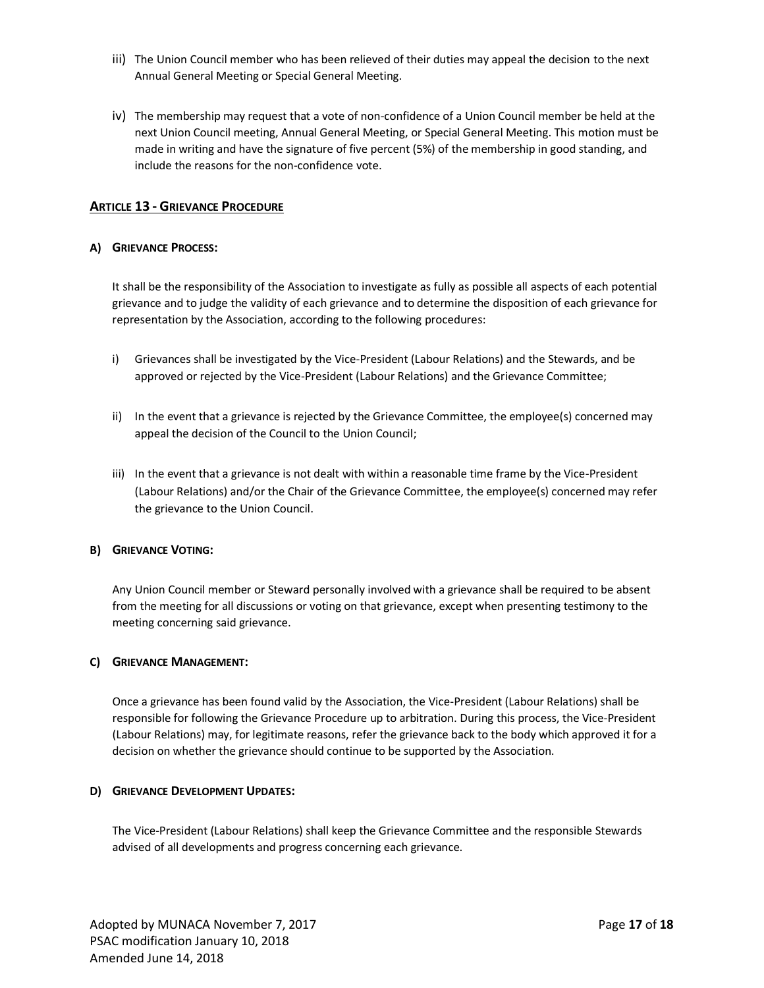- iii) The Union Council member who has been relieved of their duties may appeal the decision to the next Annual General Meeting or Special General Meeting.
- iv) The membership may request that a vote of non-confidence of a Union Council member be held at the next Union Council meeting, Annual General Meeting, or Special General Meeting. This motion must be made in writing and have the signature of five percent (5%) of the membership in good standing, and include the reasons for the non-confidence vote.

# **ARTICLE 13 - GRIEVANCE PROCEDURE**

#### **A) GRIEVANCE PROCESS:**

It shall be the responsibility of the Association to investigate as fully as possible all aspects of each potential grievance and to judge the validity of each grievance and to determine the disposition of each grievance for representation by the Association, according to the following procedures:

- i) Grievances shall be investigated by the Vice-President (Labour Relations) and the Stewards, and be approved or rejected by the Vice-President (Labour Relations) and the Grievance Committee;
- ii) In the event that a grievance is rejected by the Grievance Committee, the employee(s) concerned may appeal the decision of the Council to the Union Council;
- iii) In the event that a grievance is not dealt with within a reasonable time frame by the Vice-President (Labour Relations) and/or the Chair of the Grievance Committee, the employee(s) concerned may refer the grievance to the Union Council.

## **B) GRIEVANCE VOTING:**

Any Union Council member or Steward personally involved with a grievance shall be required to be absent from the meeting for all discussions or voting on that grievance, except when presenting testimony to the meeting concerning said grievance.

## **C) GRIEVANCE MANAGEMENT:**

Once a grievance has been found valid by the Association, the Vice-President (Labour Relations) shall be responsible for following the Grievance Procedure up to arbitration. During this process, the Vice-President (Labour Relations) may, for legitimate reasons, refer the grievance back to the body which approved it for a decision on whether the grievance should continue to be supported by the Association.

#### **D) GRIEVANCE DEVELOPMENT UPDATES:**

The Vice-President (Labour Relations) shall keep the Grievance Committee and the responsible Stewards advised of all developments and progress concerning each grievance.